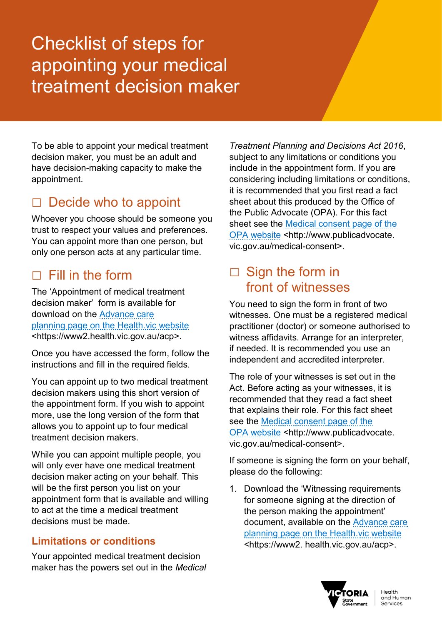# Checklist of steps for appointing your medical treatment decision maker

To be able to appoint your medical treatment decision maker, you must be an adult and have decision-making capacity to make the appointment.

# $\Box$  Decide who to appoint

Whoever you choose should be someone you trust to respect your values and preferences. You can appoint more than one person, but only one person acts at any particular time.

# $\Box$  Fill in the form

The 'Appointment of medical treatment decision maker' form is available for download on the [Advance care](https://www2.health.vic.gov.au/acp)  [planning page on the Health.vic website](https://www2.health.vic.gov.au/acp) <https://www2.health.vic.gov.au/acp>.

Once you have accessed the form, follow the instructions and fill in the required fields.

You can appoint up to two medical treatment decision makers using this short version of the appointment form. If you wish to appoint more, use the long version of the form that allows you to appoint up to four medical treatment decision makers.

While you can appoint multiple people, you will only ever have one medical treatment decision maker acting on your behalf. This will be the first person you list on your appointment form that is available and willing to act at the time a medical treatment decisions must be made.

#### **Limitations or conditions**

Your appointed medical treatment decision maker has the powers set out in the *Medical* 

*Treatment Planning and Decisions Act 2016*, subject to any limitations or conditions you include in the appointment form. If you are considering including limitations or conditions, it is recommended that you first read a fact sheet about this produced by the Office of the Public Advocate (OPA). For this fact sheet see the [Medical consent page of the](http://www.publicadvocate.vic.gov.au/medical-consent)  [OPA website](http://www.publicadvocate.vic.gov.au/medical-consent) <http://www.publicadvocate. vic.gov.au/medical-consent>.

#### $\Box$  Sign the form in front of witnesses

You need to sign the form in front of two witnesses. One must be a registered medical practitioner (doctor) or someone authorised to witness affidavits. Arrange for an interpreter, if needed. It is recommended you use an independent and accredited interpreter.

The role of your witnesses is set out in the Act. Before acting as your witnesses, it is recommended that they read a fact sheet that explains their role. For this fact sheet see the [Medical consent page of the](http://www.publicadvocate.vic.gov.au/medical-consent)  [OPA website](http://www.publicadvocate.vic.gov.au/medical-consent) <http://www.publicadvocate. vic.gov.au/medical-consent>.

If someone is signing the form on your behalf, please do the following:

1. Download the 'Witnessing requirements for someone signing at the direction of the person making the appointment' document, available on the [Advance care](https://www2.health.vic.gov.au/acp)  [planning page on the Health.vic website](https://www2.health.vic.gov.au/acp) <https://www2. health.vic.gov.au/acp>.